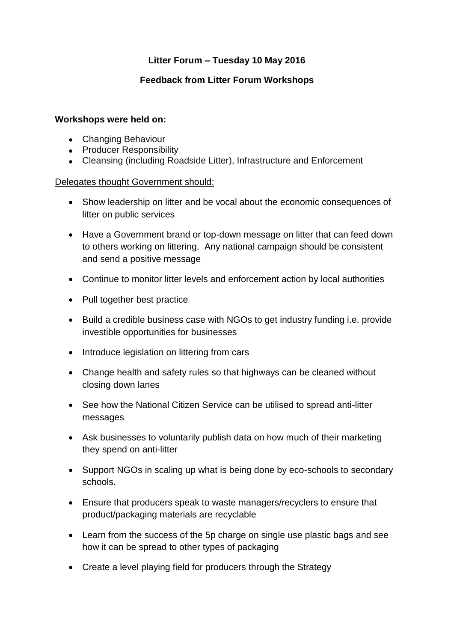# **Litter Forum – Tuesday 10 May 2016**

# **Feedback from Litter Forum Workshops**

#### **Workshops were held on:**

- Changing Behaviour
- Producer Responsibility
- Cleansing (including Roadside Litter), Infrastructure and Enforcement

### Delegates thought Government should:

- Show leadership on litter and be vocal about the economic consequences of litter on public services
- Have a Government brand or top-down message on litter that can feed down to others working on littering. Any national campaign should be consistent and send a positive message
- Continue to monitor litter levels and enforcement action by local authorities
- Pull together best practice
- Build a credible business case with NGOs to get industry funding i.e. provide investible opportunities for businesses
- Introduce legislation on littering from cars
- Change health and safety rules so that highways can be cleaned without closing down lanes
- See how the National Citizen Service can be utilised to spread anti-litter messages
- Ask businesses to voluntarily publish data on how much of their marketing they spend on anti-litter
- Support NGOs in scaling up what is being done by eco-schools to secondary schools.
- Ensure that producers speak to waste managers/recyclers to ensure that product/packaging materials are recyclable
- Learn from the success of the 5p charge on single use plastic bags and see how it can be spread to other types of packaging
- Create a level playing field for producers through the Strategy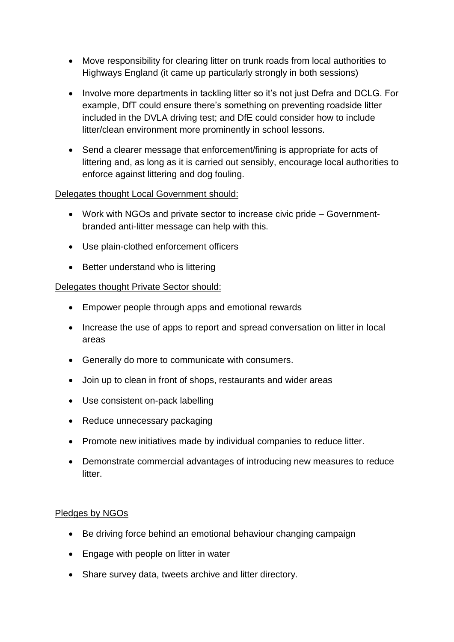- Move responsibility for clearing litter on trunk roads from local authorities to Highways England (it came up particularly strongly in both sessions)
- Involve more departments in tackling litter so it's not just Defra and DCLG. For example, DfT could ensure there's something on preventing roadside litter included in the DVLA driving test; and DfE could consider how to include litter/clean environment more prominently in school lessons.
- Send a clearer message that enforcement/fining is appropriate for acts of littering and, as long as it is carried out sensibly, encourage local authorities to enforce against littering and dog fouling.

### Delegates thought Local Government should:

- Work with NGOs and private sector to increase civic pride Governmentbranded anti-litter message can help with this.
- Use plain-clothed enforcement officers
- Better understand who is littering

# Delegates thought Private Sector should:

- Empower people through apps and emotional rewards
- Increase the use of apps to report and spread conversation on litter in local areas
- Generally do more to communicate with consumers.
- Join up to clean in front of shops, restaurants and wider areas
- Use consistent on-pack labelling
- Reduce unnecessary packaging
- Promote new initiatives made by individual companies to reduce litter.
- Demonstrate commercial advantages of introducing new measures to reduce litter.

# Pledges by NGOs

- Be driving force behind an emotional behaviour changing campaign
- Engage with people on litter in water
- Share survey data, tweets archive and litter directory.